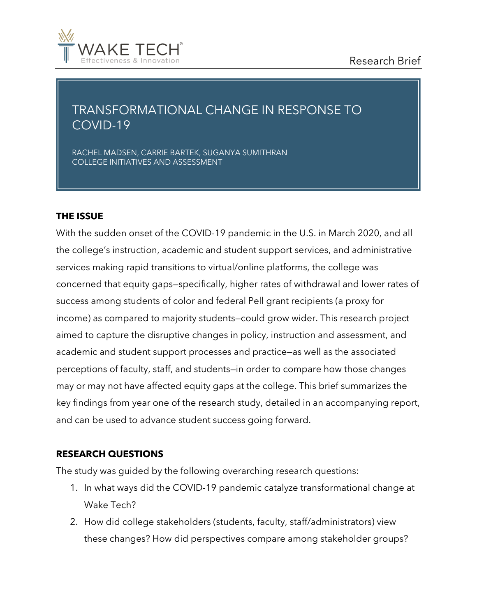

# TRANSFORMATIONAL CHANGE IN RESPONSE TO COVID-19

RACHEL MADSEN, CARRIE BARTEK, SUGANYA SUMITHRAN COLLEGE INITIATIVES AND ASSESSMENT

### **THE ISSUE**

With the sudden onset of the COVID-19 pandemic in the U.S. in March 2020, and all the college's instruction, academic and student support services, and administrative services making rapid transitions to virtual/online platforms, the college was concerned that equity gaps—specifically, higher rates of withdrawal and lower rates of success among students of color and federal Pell grant recipients (a proxy for income) as compared to majority students—could grow wider. This research project aimed to capture the disruptive changes in policy, instruction and assessment, and academic and student support processes and practice—as well as the associated perceptions of faculty, staff, and students—in order to compare how those changes may or may not have affected equity gaps at the college. This brief summarizes the key findings from year one of the research study, detailed in an accompanying report, and can be used to advance student success going forward.

#### **RESEARCH QUESTIONS**

The study was guided by the following overarching research questions:

- 1. In what ways did the COVID-19 pandemic catalyze transformational change at Wake Tech?
- 2. How did college stakeholders (students, faculty, staff/administrators) view these changes? How did perspectives compare among stakeholder groups?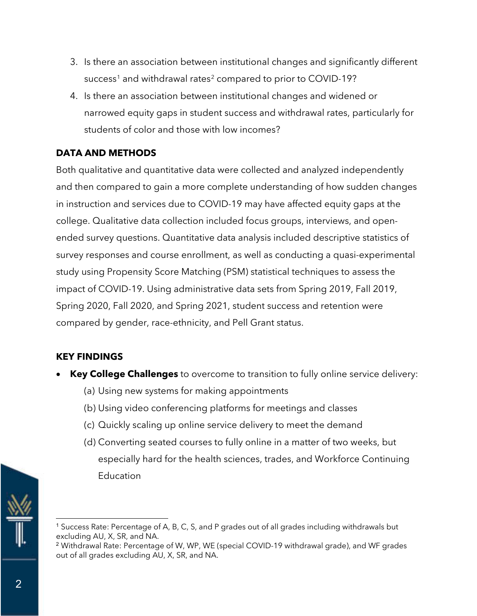- 3. Is there an association between institutional changes and significantly different success<sup>[1](#page-1-0)</sup> and withdrawal rates<sup>[2](#page-1-1)</sup> compared to prior to COVID-19?
- 4. Is there an association between institutional changes and widened or narrowed equity gaps in student success and withdrawal rates, particularly for students of color and those with low incomes?

# **DATA AND METHODS**

Both qualitative and quantitative data were collected and analyzed independently and then compared to gain a more complete understanding of how sudden changes in instruction and services due to COVID-19 may have affected equity gaps at the college. Qualitative data collection included focus groups, interviews, and openended survey questions. Quantitative data analysis included descriptive statistics of survey responses and course enrollment, as well as conducting a quasi-experimental study using Propensity Score Matching (PSM) statistical techniques to assess the impact of COVID-19. Using administrative data sets from Spring 2019, Fall 2019, Spring 2020, Fall 2020, and Spring 2021, student success and retention were compared by gender, race-ethnicity, and Pell Grant status.

## **KEY FINDINGS**

- **Key College Challenges** to overcome to transition to fully online service delivery:
	- (a) Using new systems for making appointments
	- (b) Using video conferencing platforms for meetings and classes
	- (c) Quickly scaling up online service delivery to meet the demand
	- (d) Converting seated courses to fully online in a matter of two weeks, but especially hard for the health sciences, trades, and Workforce Continuing Education

<span id="page-1-0"></span>

<sup>1</sup> Success Rate: Percentage of A, B, C, S, and P grades out of all grades including withdrawals but excluding AU, X, SR, and NA.

<span id="page-1-1"></span><sup>2</sup> Withdrawal Rate: Percentage of W, WP, WE (special COVID-19 withdrawal grade), and WF grades out of all grades excluding AU, X, SR, and NA.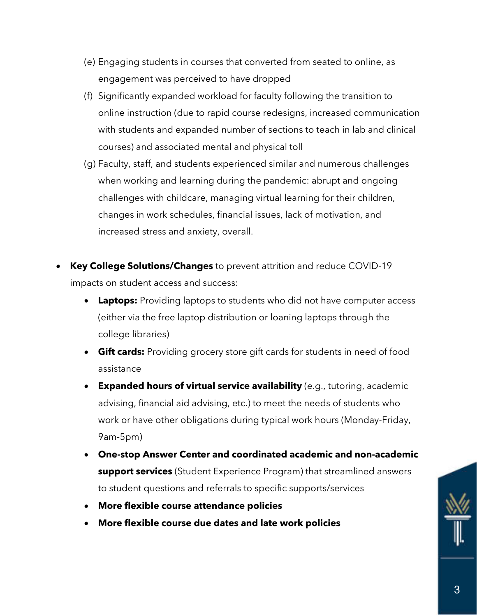- (e) Engaging students in courses that converted from seated to online, as engagement was perceived to have dropped
- (f) Significantly expanded workload for faculty following the transition to online instruction (due to rapid course redesigns, increased communication with students and expanded number of sections to teach in lab and clinical courses) and associated mental and physical toll
- (g) Faculty, staff, and students experienced similar and numerous challenges when working and learning during the pandemic: abrupt and ongoing challenges with childcare, managing virtual learning for their children, changes in work schedules, financial issues, lack of motivation, and increased stress and anxiety, overall.
- **Key College Solutions/Changes** to prevent attrition and reduce COVID-19 impacts on student access and success:
	- **Laptops:** Providing laptops to students who did not have computer access (either via the free laptop distribution or loaning laptops through the college libraries)
	- **Gift cards:** Providing grocery store gift cards for students in need of food assistance
	- **Expanded hours of virtual service availability** (e.g., tutoring, academic advising, financial aid advising, etc.) to meet the needs of students who work or have other obligations during typical work hours (Monday-Friday, 9am-5pm)
	- **One-stop Answer Center and coordinated academic and non-academic support services** (Student Experience Program) that streamlined answers to student questions and referrals to specific supports/services
	- **More flexible course attendance policies**
	- **More flexible course due dates and late work policies**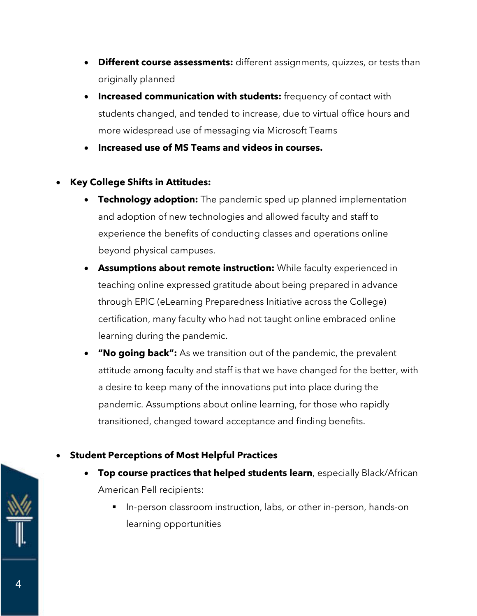- **Different course assessments:** different assignments, quizzes, or tests than originally planned
- **Increased communication with students:** frequency of contact with students changed, and tended to increase, due to virtual office hours and more widespread use of messaging via Microsoft Teams
- **Increased use of MS Teams and videos in courses.**

# • **Key College Shifts in Attitudes:**

- **Technology adoption:** The pandemic sped up planned implementation and adoption of new technologies and allowed faculty and staff to experience the benefits of conducting classes and operations online beyond physical campuses.
- **Assumptions about remote instruction:** While faculty experienced in teaching online expressed gratitude about being prepared in advance through EPIC (eLearning Preparedness Initiative across the College) certification, many faculty who had not taught online embraced online learning during the pandemic.
- **"No going back":** As we transition out of the pandemic, the prevalent attitude among faculty and staff is that we have changed for the better, with a desire to keep many of the innovations put into place during the pandemic. Assumptions about online learning, for those who rapidly transitioned, changed toward acceptance and finding benefits.
- **Student Perceptions of Most Helpful Practices**
	- **Top course practices that helped students learn**, especially Black/African American Pell recipients:
		- In-person classroom instruction, labs, or other in-person, hands-on learning opportunities

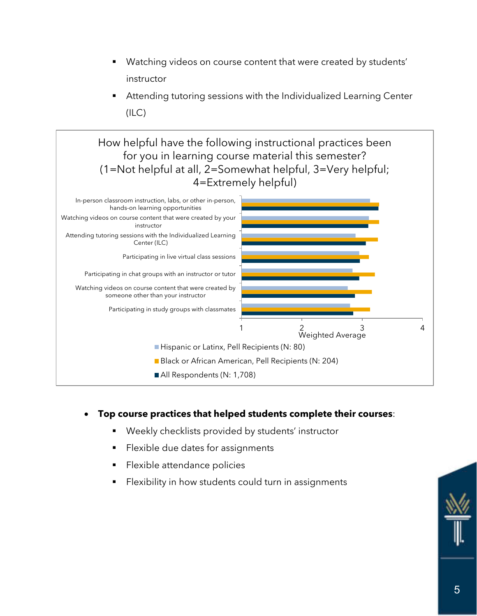- Watching videos on course content that were created by students' instructor
- Attending tutoring sessions with the Individualized Learning Center (ILC)

How helpful have the following instructional practices been for you in learning course material this semester? (1=Not helpful at all, 2=Somewhat helpful, 3=Very helpful; 4=Extremely helpful)



## • **Top course practices that helped students complete their courses**:

- Weekly checklists provided by students' instructor
- Flexible due dates for assignments
- Flexible attendance policies
- Flexibility in how students could turn in assignments

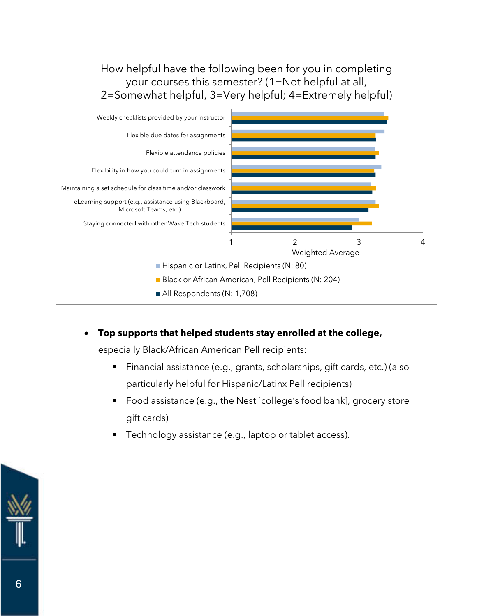

• **Top supports that helped students stay enrolled at the college,** 

especially Black/African American Pell recipients:

- Financial assistance (e.g., grants, scholarships, gift cards, etc.) (also particularly helpful for Hispanic/Latinx Pell recipients)
- Food assistance (e.g., the Nest [college's food bank], grocery store gift cards)
- Technology assistance (e.g., laptop or tablet access).

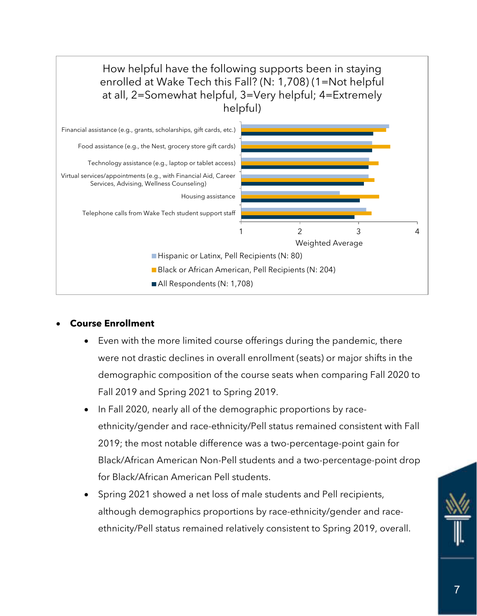

### • **Course Enrollment**

- Even with the more limited course offerings during the pandemic, there were not drastic declines in overall enrollment (seats) or major shifts in the demographic composition of the course seats when comparing Fall 2020 to Fall 2019 and Spring 2021 to Spring 2019.
- In Fall 2020, nearly all of the demographic proportions by raceethnicity/gender and race-ethnicity/Pell status remained consistent with Fall 2019; the most notable difference was a two-percentage-point gain for Black/African American Non-Pell students and a two-percentage-point drop for Black/African American Pell students.
- Spring 2021 showed a net loss of male students and Pell recipients, although demographics proportions by race-ethnicity/gender and raceethnicity/Pell status remained relatively consistent to Spring 2019, overall.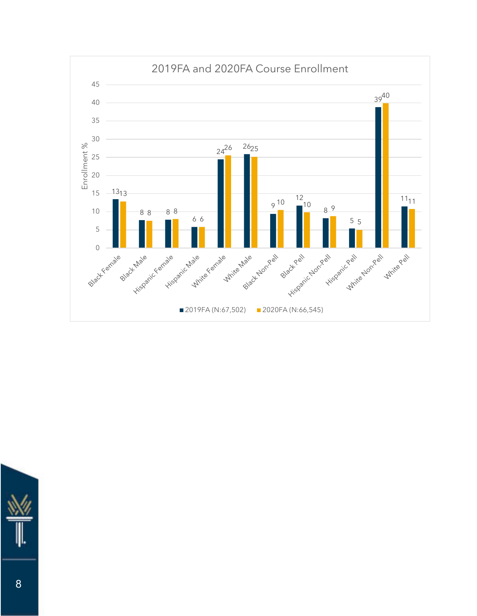

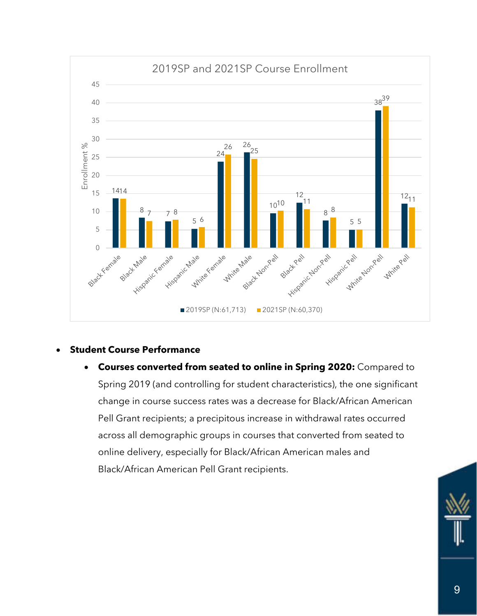

### • **Student Course Performance**

• **Courses converted from seated to online in Spring 2020:** Compared to Spring 2019 (and controlling for student characteristics), the one significant change in course success rates was a decrease for Black/African American Pell Grant recipients; a precipitous increase in withdrawal rates occurred across all demographic groups in courses that converted from seated to online delivery, especially for Black/African American males and Black/African American Pell Grant recipients.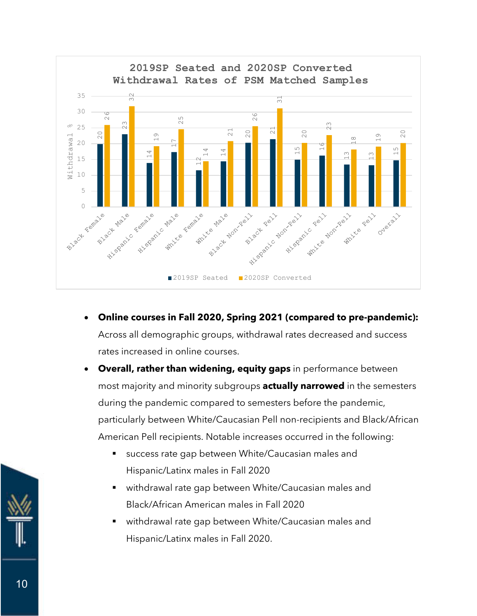

- **Online courses in Fall 2020, Spring 2021 (compared to pre-pandemic):**  Across all demographic groups, withdrawal rates decreased and success rates increased in online courses.
- **Overall, rather than widening, equity gaps** in performance between most majority and minority subgroups **actually narrowed** in the semesters during the pandemic compared to semesters before the pandemic, particularly between White/Caucasian Pell non-recipients and Black/African American Pell recipients. Notable increases occurred in the following:
	- success rate gap between White/Caucasian males and Hispanic/Latinx males in Fall 2020
	- withdrawal rate gap between White/Caucasian males and Black/African American males in Fall 2020
	- withdrawal rate gap between White/Caucasian males and Hispanic/Latinx males in Fall 2020.

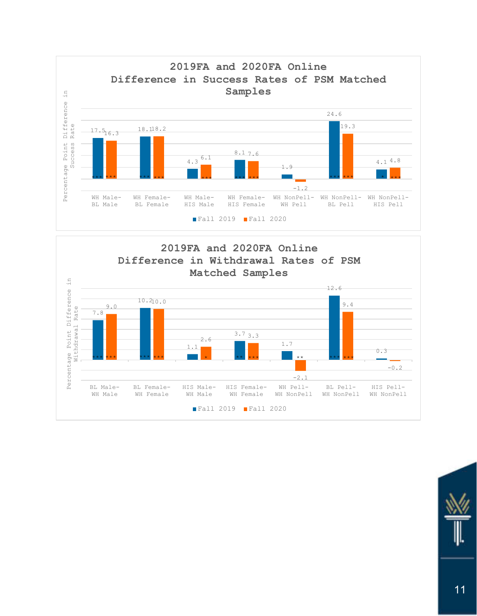



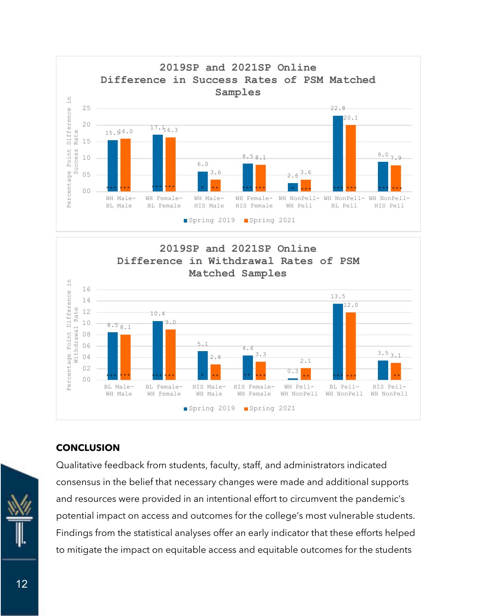



### **CONCLUSION**



Qualitative feedback from students, faculty, staff, and administrators indicated consensus in the belief that necessary changes were made and additional supports and resources were provided in an intentional effort to circumvent the pandemic's potential impact on access and outcomes for the college's most vulnerable students. Findings from the statistical analyses offer an early indicator that these efforts helped to mitigate the impact on equitable access and equitable outcomes for the students